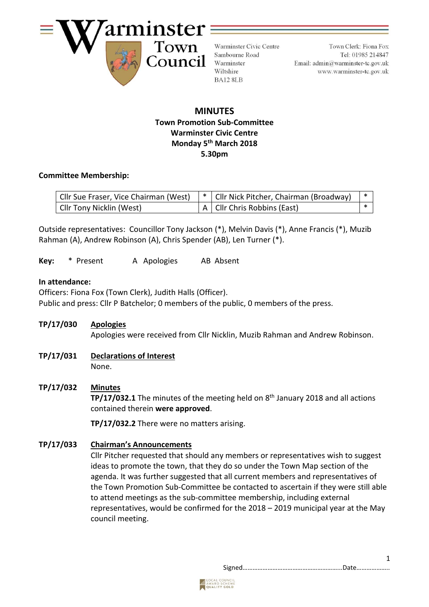

Warminster Civic Centre Sambourne Road Warminster Wiltshire BA12 8LB

Town Clerk: Fiona Fox Tel: 01985 214847 Email:  $\text{admin}\overline{a}$  warminster-tc.gov.uk www.warminster-tc.gov.uk

## **MINUTES Town Promotion Sub-Committee Warminster Civic Centre Monday 5 th March 2018 5.30pm**

#### **Committee Membership:**

| Cllr Sue Fraser, Vice Chairman (West) | *   Cllr Nick Pitcher, Chairman (Broadway) |  |
|---------------------------------------|--------------------------------------------|--|
| Cllr Tony Nicklin (West)              | A   Cllr Chris Robbins (East)              |  |

Outside representatives: Councillor Tony Jackson (\*), Melvin Davis (\*), Anne Francis (\*), Muzib Rahman (A), Andrew Robinson (A), Chris Spender (AB), Len Turner (\*).

Key: \* Present A Apologies AB Absent

### **In attendance:**

Officers: Fiona Fox (Town Clerk), Judith Halls (Officer). Public and press: Cllr P Batchelor; 0 members of the public, 0 members of the press.

**TP/17/030 Apologies**

Apologies were received from Cllr Nicklin, Muzib Rahman and Andrew Robinson.

- **TP/17/031 Declarations of Interest** None.
- **TP/17/032 Minutes**

**TP/17/032.1** The minutes of the meeting held on 8<sup>th</sup> January 2018 and all actions contained therein **were approved**.

**TP/17/032.2** There were no matters arising.

## **TP/17/033 Chairman's Announcements**

Cllr Pitcher requested that should any members or representatives wish to suggest ideas to promote the town, that they do so under the Town Map section of the agenda. It was further suggested that all current members and representatives of the Town Promotion Sub-Committee be contacted to ascertain if they were still able to attend meetings as the sub-committee membership, including external representatives, would be confirmed for the 2018 – 2019 municipal year at the May council meeting.

Signed…………………………………………………...Date………………..

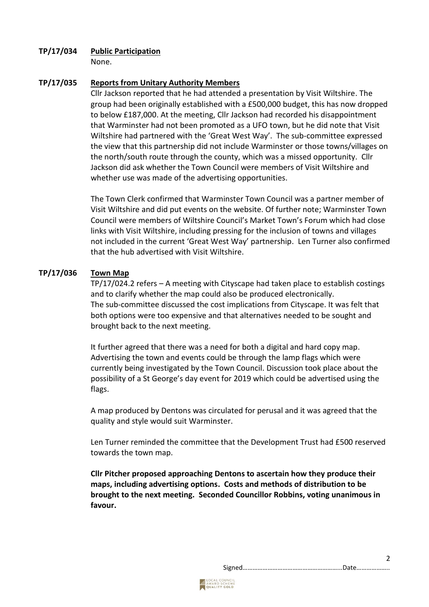## **TP/17/034 Public Participation**

None.

## **TP/17/035 Reports from Unitary Authority Members**

Cllr Jackson reported that he had attended a presentation by Visit Wiltshire. The group had been originally established with a £500,000 budget, this has now dropped to below £187,000. At the meeting, Cllr Jackson had recorded his disappointment that Warminster had not been promoted as a UFO town, but he did note that Visit Wiltshire had partnered with the 'Great West Way'. The sub-committee expressed the view that this partnership did not include Warminster or those towns/villages on the north/south route through the county, which was a missed opportunity. Cllr Jackson did ask whether the Town Council were members of Visit Wiltshire and whether use was made of the advertising opportunities.

The Town Clerk confirmed that Warminster Town Council was a partner member of Visit Wiltshire and did put events on the website. Of further note; Warminster Town Council were members of Wiltshire Council's Market Town's Forum which had close links with Visit Wiltshire, including pressing for the inclusion of towns and villages not included in the current 'Great West Way' partnership. Len Turner also confirmed that the hub advertised with Visit Wiltshire.

## **TP/17/036 Town Map**

TP/17/024.2 refers – A meeting with Cityscape had taken place to establish costings and to clarify whether the map could also be produced electronically. The sub-committee discussed the cost implications from Cityscape. It was felt that both options were too expensive and that alternatives needed to be sought and brought back to the next meeting.

It further agreed that there was a need for both a digital and hard copy map. Advertising the town and events could be through the lamp flags which were currently being investigated by the Town Council. Discussion took place about the possibility of a St George's day event for 2019 which could be advertised using the flags.

A map produced by Dentons was circulated for perusal and it was agreed that the quality and style would suit Warminster.

Len Turner reminded the committee that the Development Trust had £500 reserved towards the town map.

**Cllr Pitcher proposed approaching Dentons to ascertain how they produce their maps, including advertising options. Costs and methods of distribution to be brought to the next meeting. Seconded Councillor Robbins, voting unanimous in favour.**

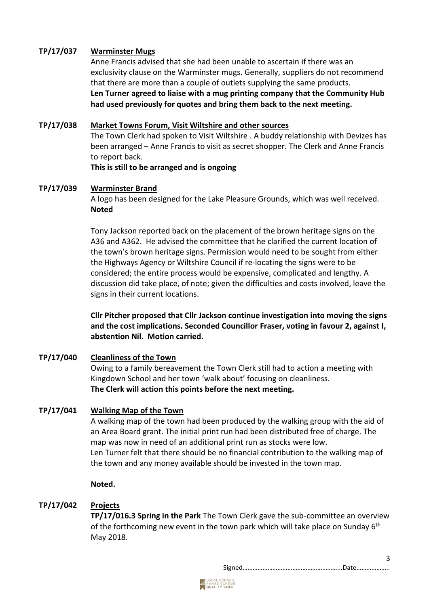## **TP/17/037 Warminster Mugs**

Anne Francis advised that she had been unable to ascertain if there was an exclusivity clause on the Warminster mugs. Generally, suppliers do not recommend that there are more than a couple of outlets supplying the same products. **Len Turner agreed to liaise with a mug printing company that the Community Hub had used previously for quotes and bring them back to the next meeting.**

#### **TP/17/038 Market Towns Forum, Visit Wiltshire and other sources**

The Town Clerk had spoken to Visit Wiltshire . A buddy relationship with Devizes has been arranged – Anne Francis to visit as secret shopper. The Clerk and Anne Francis to report back.

**This is still to be arranged and is ongoing**

#### **TP/17/039 Warminster Brand**

A logo has been designed for the Lake Pleasure Grounds, which was well received. **Noted**

Tony Jackson reported back on the placement of the brown heritage signs on the A36 and A362. He advised the committee that he clarified the current location of the town's brown heritage signs. Permission would need to be sought from either the Highways Agency or Wiltshire Council if re-locating the signs were to be considered; the entire process would be expensive, complicated and lengthy. A discussion did take place, of note; given the difficulties and costs involved, leave the signs in their current locations.

**Cllr Pitcher proposed that Cllr Jackson continue investigation into moving the signs and the cost implications. Seconded Councillor Fraser, voting in favour 2, against I, abstention Nil. Motion carried.**

#### **TP/17/040 Cleanliness of the Town**

Owing to a family bereavement the Town Clerk still had to action a meeting with Kingdown School and her town 'walk about' focusing on cleanliness. **The Clerk will action this points before the next meeting.**

#### **TP/17/041 Walking Map of the Town**

A walking map of the town had been produced by the walking group with the aid of an Area Board grant. The initial print run had been distributed free of charge. The map was now in need of an additional print run as stocks were low. Len Turner felt that there should be no financial contribution to the walking map of the town and any money available should be invested in the town map.

#### **Noted.**

## **TP/17/042 Projects**

**TP/17/016.3 Spring in the Park** The Town Clerk gave the sub-committee an overview of the forthcoming new event in the town park which will take place on Sunday  $6<sup>th</sup>$ May 2018.

Signed…………………………………………………...Date………………..